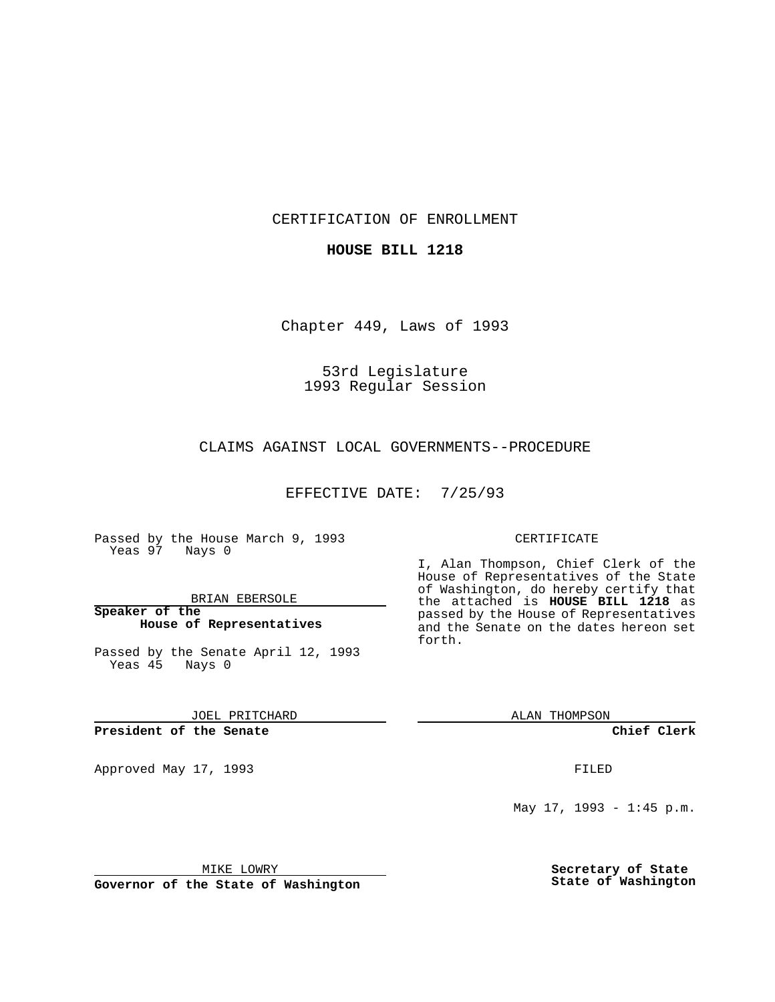CERTIFICATION OF ENROLLMENT

**HOUSE BILL 1218**

Chapter 449, Laws of 1993

53rd Legislature 1993 Regular Session

CLAIMS AGAINST LOCAL GOVERNMENTS--PROCEDURE

EFFECTIVE DATE: 7/25/93

Passed by the House March 9, 1993 Yeas 97 Nays 0

BRIAN EBERSOLE

**Speaker of the House of Representatives**

Passed by the Senate April 12, 1993 Yeas 45 Nays 0

JOEL PRITCHARD

**President of the Senate**

Approved May 17, 1993 **FILED** 

## CERTIFICATE

I, Alan Thompson, Chief Clerk of the House of Representatives of the State of Washington, do hereby certify that the attached is **HOUSE BILL 1218** as passed by the House of Representatives and the Senate on the dates hereon set forth.

ALAN THOMPSON

**Chief Clerk**

May 17, 1993 - 1:45 p.m.

MIKE LOWRY

**Governor of the State of Washington**

**Secretary of State State of Washington**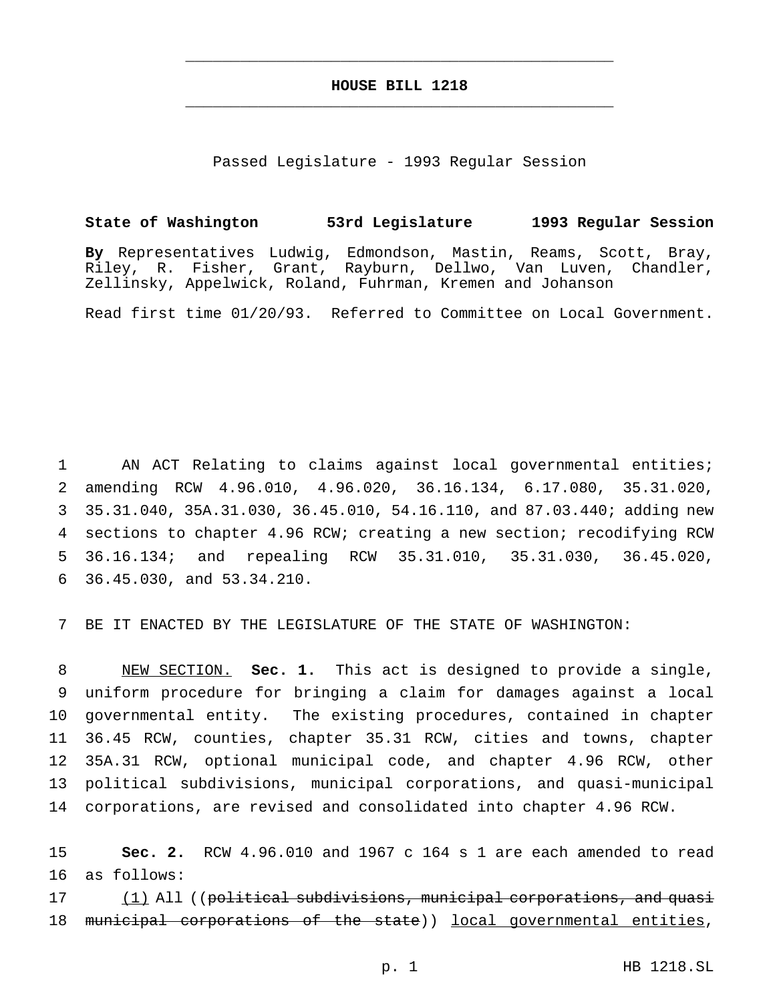## **HOUSE BILL 1218** \_\_\_\_\_\_\_\_\_\_\_\_\_\_\_\_\_\_\_\_\_\_\_\_\_\_\_\_\_\_\_\_\_\_\_\_\_\_\_\_\_\_\_\_\_\_\_

\_\_\_\_\_\_\_\_\_\_\_\_\_\_\_\_\_\_\_\_\_\_\_\_\_\_\_\_\_\_\_\_\_\_\_\_\_\_\_\_\_\_\_\_\_\_\_

Passed Legislature - 1993 Regular Session

## **State of Washington 53rd Legislature 1993 Regular Session**

**By** Representatives Ludwig, Edmondson, Mastin, Reams, Scott, Bray, Riley, R. Fisher, Grant, Rayburn, Dellwo, Van Luven, Chandler, Zellinsky, Appelwick, Roland, Fuhrman, Kremen and Johanson

Read first time 01/20/93. Referred to Committee on Local Government.

 AN ACT Relating to claims against local governmental entities; amending RCW 4.96.010, 4.96.020, 36.16.134, 6.17.080, 35.31.020, 35.31.040, 35A.31.030, 36.45.010, 54.16.110, and 87.03.440; adding new sections to chapter 4.96 RCW; creating a new section; recodifying RCW 36.16.134; and repealing RCW 35.31.010, 35.31.030, 36.45.020, 36.45.030, and 53.34.210.

7 BE IT ENACTED BY THE LEGISLATURE OF THE STATE OF WASHINGTON:

 NEW SECTION. **Sec. 1.** This act is designed to provide a single, uniform procedure for bringing a claim for damages against a local governmental entity. The existing procedures, contained in chapter 36.45 RCW, counties, chapter 35.31 RCW, cities and towns, chapter 35A.31 RCW, optional municipal code, and chapter 4.96 RCW, other political subdivisions, municipal corporations, and quasi-municipal corporations, are revised and consolidated into chapter 4.96 RCW.

15 **Sec. 2.** RCW 4.96.010 and 1967 c 164 s 1 are each amended to read 16 as follows:

17 (1) All ((political subdivisions, municipal corporations, and quasi 18 municipal corporations of the state)) local governmental entities,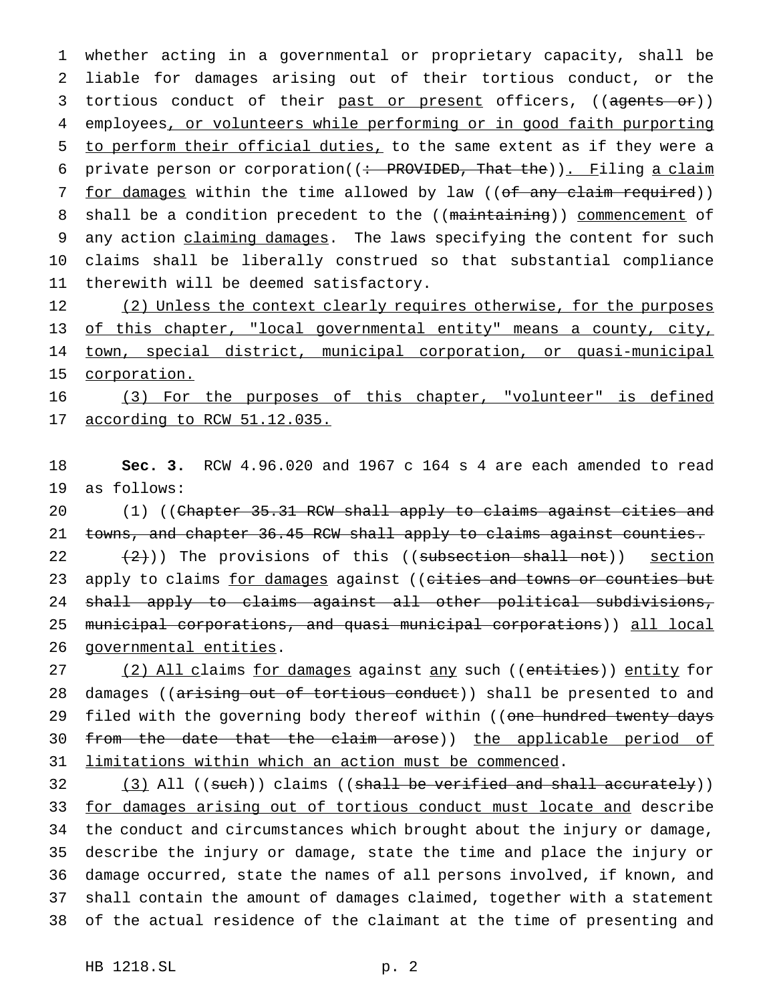1 whether acting in a governmental or proprietary capacity, shall be 2 liable for damages arising out of their tortious conduct, or the 3 tortious conduct of their past or present officers, ((agents or)) 4 employees, or volunteers while performing or in good faith purporting 5 to perform their official duties, to the same extent as if they were a 6 private person or corporation( $\left(\div\right)$  PROVIDED, That the)). Filing a claim 7 for damages within the time allowed by law ((of any claim required)) 8 shall be a condition precedent to the ((maintaining)) commencement of 9 any action claiming damages. The laws specifying the content for such 10 claims shall be liberally construed so that substantial compliance 11 therewith will be deemed satisfactory.

12 (2) Unless the context clearly requires otherwise, for the purposes 13 of this chapter, "local governmental entity" means a county, city, 14 town, special district, municipal corporation, or quasi-municipal 15 corporation.

16 (3) For the purposes of this chapter, "volunteer" is defined 17 according to RCW 51.12.035.

18 **Sec. 3.** RCW 4.96.020 and 1967 c 164 s 4 are each amended to read 19 as follows:

20 (1) ((Chapter 35.31 RCW shall apply to claims against cities and 21 towns, and chapter 36.45 RCW shall apply to claims against counties.

 $(2)$ )) The provisions of this ((subsection shall not)) section 23 apply to claims for damages against ((cities and towns or counties but shall apply to claims against all other political subdivisions, municipal corporations, and quasi municipal corporations)) all local governmental entities.

27 (2) All claims for damages against any such ((entities)) entity for 28 damages ((arising out of tortious conduct)) shall be presented to and 29 filed with the governing body thereof within ((one hundred twenty days 30 from the date that the claim arose)) the applicable period of 31 limitations within which an action must be commenced.

32 (3) All ((such)) claims ((shall be verified and shall accurately)) for damages arising out of tortious conduct must locate and describe the conduct and circumstances which brought about the injury or damage, describe the injury or damage, state the time and place the injury or damage occurred, state the names of all persons involved, if known, and shall contain the amount of damages claimed, together with a statement of the actual residence of the claimant at the time of presenting and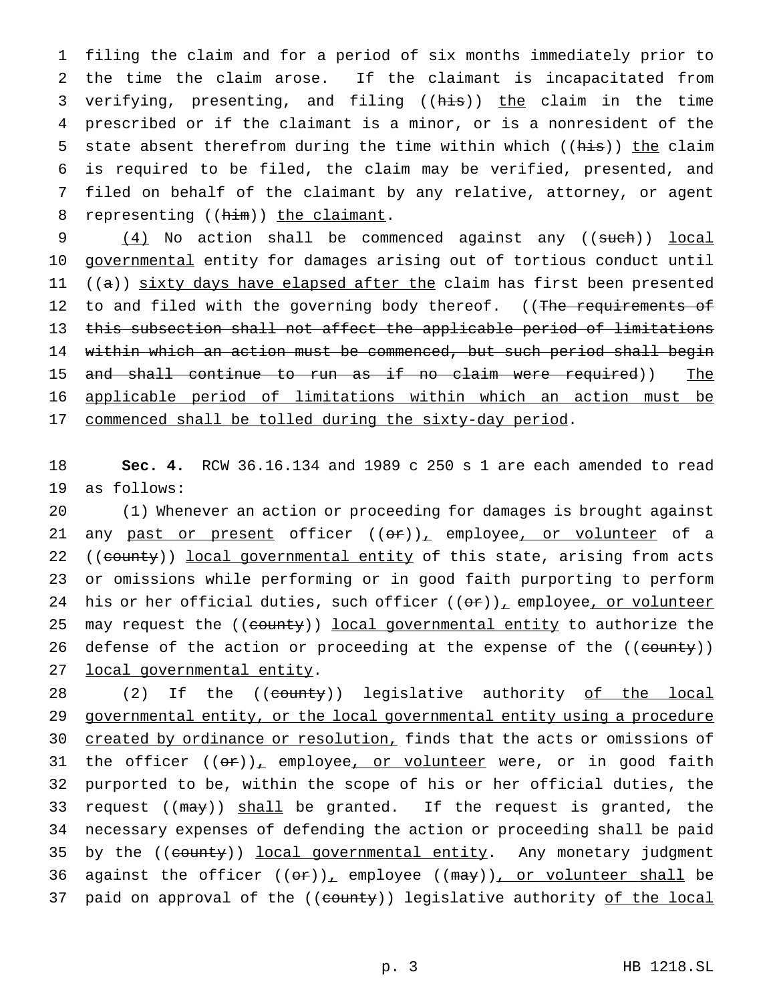filing the claim and for a period of six months immediately prior to the time the claim arose. If the claimant is incapacitated from verifying, presenting, and filing ((his)) the claim in the time prescribed or if the claimant is a minor, or is a nonresident of the 5 state absent therefrom during the time within which ((his)) the claim is required to be filed, the claim may be verified, presented, and filed on behalf of the claimant by any relative, attorney, or agent 8 representing ((him)) the claimant.

9 (4) No action shall be commenced against any ((such)) local 10 governmental entity for damages arising out of tortious conduct until 11 ((a)) sixty days have elapsed after the claim has first been presented 12 to and filed with the governing body thereof. ((The requirements of 13 this subsection shall not affect the applicable period of limitations 14 within which an action must be commenced, but such period shall begin 15 and shall continue to run as if no claim were required)) The 16 applicable period of limitations within which an action must be 17 commenced shall be tolled during the sixty-day period.

18 **Sec. 4.** RCW 36.16.134 and 1989 c 250 s 1 are each amended to read 19 as follows:

20 (1) Whenever an action or proceeding for damages is brought against 21 any past or present officer  $((or))_+$  employee, or volunteer of a 22 ((county)) local governmental entity of this state, arising from acts 23 or omissions while performing or in good faith purporting to perform 24 his or her official duties, such officer  $((or))_1$  employee, or volunteer 25 may request the ((county)) local governmental entity to authorize the 26 defense of the action or proceeding at the expense of the ((county)) 27 local governmental entity.

28 (2) If the ((county)) legislative authority of the local 29 governmental entity, or the local governmental entity using a procedure 30 created by ordinance or resolution, finds that the acts or omissions of 31 the officer  $((\theta \cdot r))_+$  employee, or volunteer were, or in good faith 32 purported to be, within the scope of his or her official duties, the 33 request ((may)) shall be granted. If the request is granted, the 34 necessary expenses of defending the action or proceeding shall be paid 35 by the ((county)) local governmental entity. Any monetary judgment 36 against the officer  $((\theta \hat{r}))_+$  employee  $((\theta \hat{r}))_+$  or volunteer shall be 37 paid on approval of the ((county)) legislative authority of the local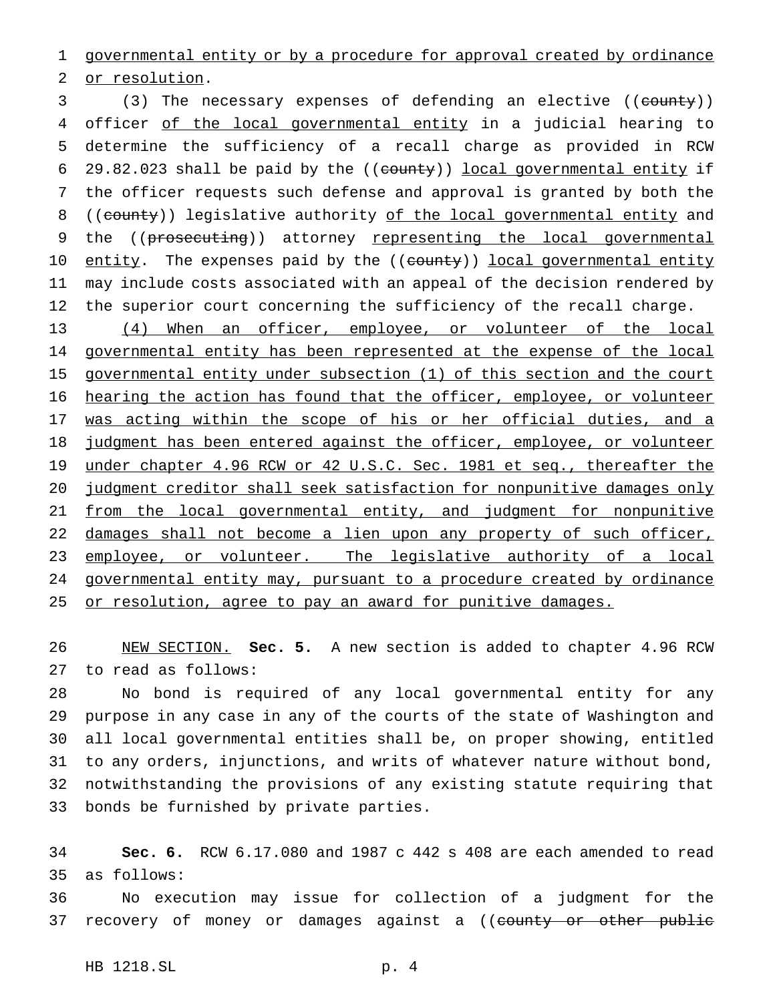governmental entity or by a procedure for approval created by ordinance

or resolution.

3 (3) The necessary expenses of defending an elective ((county)) 4 officer of the local governmental entity in a judicial hearing to determine the sufficiency of a recall charge as provided in RCW 6 29.82.023 shall be paid by the  $((\text{county}))$  local governmental entity if the officer requests such defense and approval is granted by both the 8 ((county)) legislative authority of the local governmental entity and the ((prosecuting)) attorney representing the local governmental 10 entity. The expenses paid by the ((county)) local governmental entity may include costs associated with an appeal of the decision rendered by the superior court concerning the sufficiency of the recall charge.

 (4) When an officer, employee, or volunteer of the local governmental entity has been represented at the expense of the local governmental entity under subsection (1) of this section and the court hearing the action has found that the officer, employee, or volunteer 17 was acting within the scope of his or her official duties, and a 18 judgment has been entered against the officer, employee, or volunteer 19 under chapter 4.96 RCW or 42 U.S.C. Sec. 1981 et seq., thereafter the judgment creditor shall seek satisfaction for nonpunitive damages only 21 from the local governmental entity, and judgment for nonpunitive 22 damages shall not become a lien upon any property of such officer, 23 employee, or volunteer. The legislative authority of a local governmental entity may, pursuant to a procedure created by ordinance 25 or resolution, agree to pay an award for punitive damages.

 NEW SECTION. **Sec. 5.** A new section is added to chapter 4.96 RCW to read as follows:

 No bond is required of any local governmental entity for any purpose in any case in any of the courts of the state of Washington and all local governmental entities shall be, on proper showing, entitled to any orders, injunctions, and writs of whatever nature without bond, notwithstanding the provisions of any existing statute requiring that bonds be furnished by private parties.

 **Sec. 6.** RCW 6.17.080 and 1987 c 442 s 408 are each amended to read as follows:

 No execution may issue for collection of a judgment for the 37 recovery of money or damages against a ((county or other public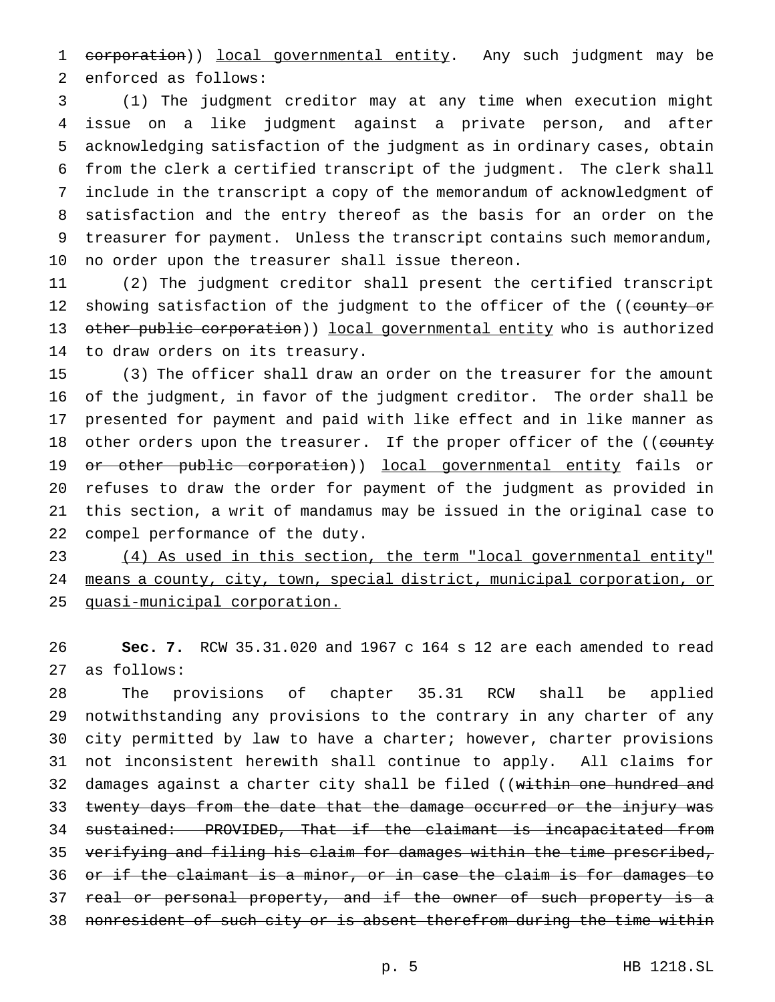1 corporation)) local governmental entity. Any such judgment may be enforced as follows:

 (1) The judgment creditor may at any time when execution might issue on a like judgment against a private person, and after acknowledging satisfaction of the judgment as in ordinary cases, obtain from the clerk a certified transcript of the judgment. The clerk shall include in the transcript a copy of the memorandum of acknowledgment of satisfaction and the entry thereof as the basis for an order on the treasurer for payment. Unless the transcript contains such memorandum, no order upon the treasurer shall issue thereon.

 (2) The judgment creditor shall present the certified transcript 12 showing satisfaction of the judgment to the officer of the ((county or 13 other public corporation)) local governmental entity who is authorized to draw orders on its treasury.

 (3) The officer shall draw an order on the treasurer for the amount of the judgment, in favor of the judgment creditor. The order shall be presented for payment and paid with like effect and in like manner as 18 other orders upon the treasurer. If the proper officer of the ((county 19 or other public corporation)) local governmental entity fails or refuses to draw the order for payment of the judgment as provided in this section, a writ of mandamus may be issued in the original case to compel performance of the duty.

 (4) As used in this section, the term "local governmental entity" means a county, city, town, special district, municipal corporation, or quasi-municipal corporation.

 **Sec. 7.** RCW 35.31.020 and 1967 c 164 s 12 are each amended to read as follows:

 The provisions of chapter 35.31 RCW shall be applied notwithstanding any provisions to the contrary in any charter of any city permitted by law to have a charter; however, charter provisions not inconsistent herewith shall continue to apply. All claims for 32 damages against a charter city shall be filed ((within one hundred and 33 twenty days from the date that the damage occurred or the injury was sustained: PROVIDED, That if the claimant is incapacitated from verifying and filing his claim for damages within the time prescribed, or if the claimant is a minor, or in case the claim is for damages to 37 real or personal property, and if the owner of such property is a 38 nonresident of such city or is absent therefrom during the time within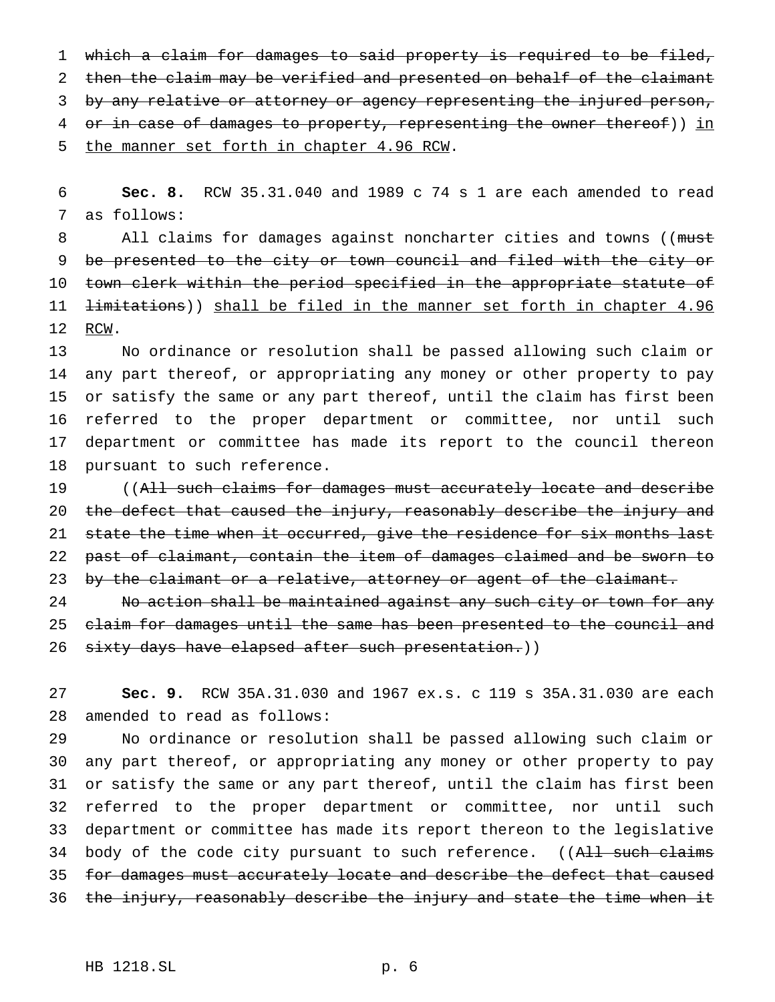1 which a claim for damages to said property is required to be filed, 2 then the claim may be verified and presented on behalf of the claimant 3 by any relative or attorney or agency representing the injured person, 4 or in case of damages to property, representing the owner thereof)) in 5 the manner set forth in chapter 4.96 RCW.

6 **Sec. 8.** RCW 35.31.040 and 1989 c 74 s 1 are each amended to read 7 as follows:

8 All claims for damages against noncharter cities and towns ((must 9 be presented to the city or town council and filed with the city or 10 town clerk within the period specified in the appropriate statute of 11 <del>limitations</del>)) shall be filed in the manner set forth in chapter 4.96 12 RCW.

 No ordinance or resolution shall be passed allowing such claim or any part thereof, or appropriating any money or other property to pay or satisfy the same or any part thereof, until the claim has first been referred to the proper department or committee, nor until such department or committee has made its report to the council thereon pursuant to such reference.

19 ((All such claims for damages must accurately locate and describe 20 the defect that caused the injury, reasonably describe the injury and 21 state the time when it occurred, give the residence for six months last 22 past of claimant, contain the item of damages claimed and be sworn to 23 by the claimant or a relative, attorney or agent of the claimant.

24 No action shall be maintained against any such city or town for any 25 claim for damages until the same has been presented to the council and 26 sixty days have elapsed after such presentation.))

27 **Sec. 9.** RCW 35A.31.030 and 1967 ex.s. c 119 s 35A.31.030 are each 28 amended to read as follows:

 No ordinance or resolution shall be passed allowing such claim or any part thereof, or appropriating any money or other property to pay or satisfy the same or any part thereof, until the claim has first been referred to the proper department or committee, nor until such department or committee has made its report thereon to the legislative 34 body of the code city pursuant to such reference. ((All such claims 35 for damages must accurately locate and describe the defect that caused 36 the injury, reasonably describe the injury and state the time when it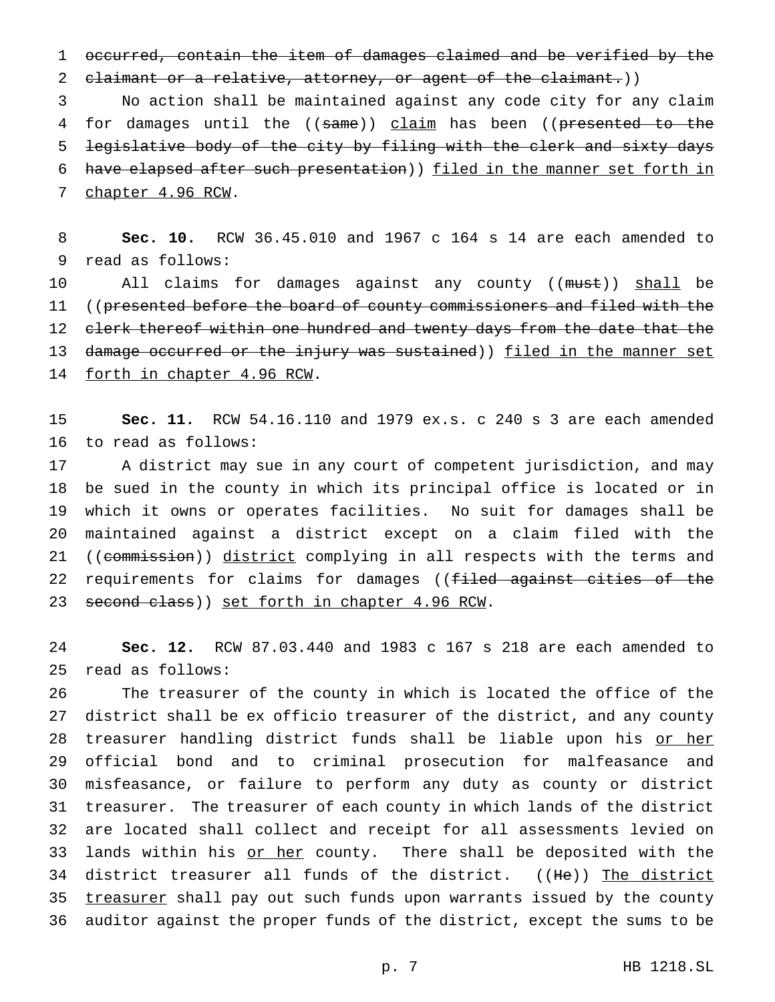1 occurred, contain the item of damages claimed and be verified by the 2 claimant or a relative, attorney, or agent of the claimant.))

3 No action shall be maintained against any code city for any claim 4 for damages until the ((same)) claim has been ((presented to the 5 legislative body of the city by filing with the clerk and sixty days 6 have elapsed after such presentation)) filed in the manner set forth in 7 chapter 4.96 RCW.

8 **Sec. 10.** RCW 36.45.010 and 1967 c 164 s 14 are each amended to 9 read as follows:

10 All claims for damages against any county ((must)) shall be 11 ((presented before the board of county commissioners and filed with the 12 c<del>lerk thereof within one hundred and twenty days from the date that the</del> 13 d<del>amage occurred or the injury was sustained</del>)) <u>filed in the manner set</u> 14 forth in chapter 4.96 RCW.

15 **Sec. 11.** RCW 54.16.110 and 1979 ex.s. c 240 s 3 are each amended 16 to read as follows:

17 A district may sue in any court of competent jurisdiction, and may 18 be sued in the county in which its principal office is located or in 19 which it owns or operates facilities. No suit for damages shall be 20 maintained against a district except on a claim filed with the 21 ((commission)) district complying in all respects with the terms and 22 requirements for claims for damages ((filed against cities of the 23 second class)) set forth in chapter 4.96 RCW.

24 **Sec. 12.** RCW 87.03.440 and 1983 c 167 s 218 are each amended to 25 read as follows:

 The treasurer of the county in which is located the office of the district shall be ex officio treasurer of the district, and any county 28 treasurer handling district funds shall be liable upon his or her official bond and to criminal prosecution for malfeasance and misfeasance, or failure to perform any duty as county or district treasurer. The treasurer of each county in which lands of the district are located shall collect and receipt for all assessments levied on 33 lands within his or her county. There shall be deposited with the 34 district treasurer all funds of the district. ((He)) The district 35 treasurer shall pay out such funds upon warrants issued by the county auditor against the proper funds of the district, except the sums to be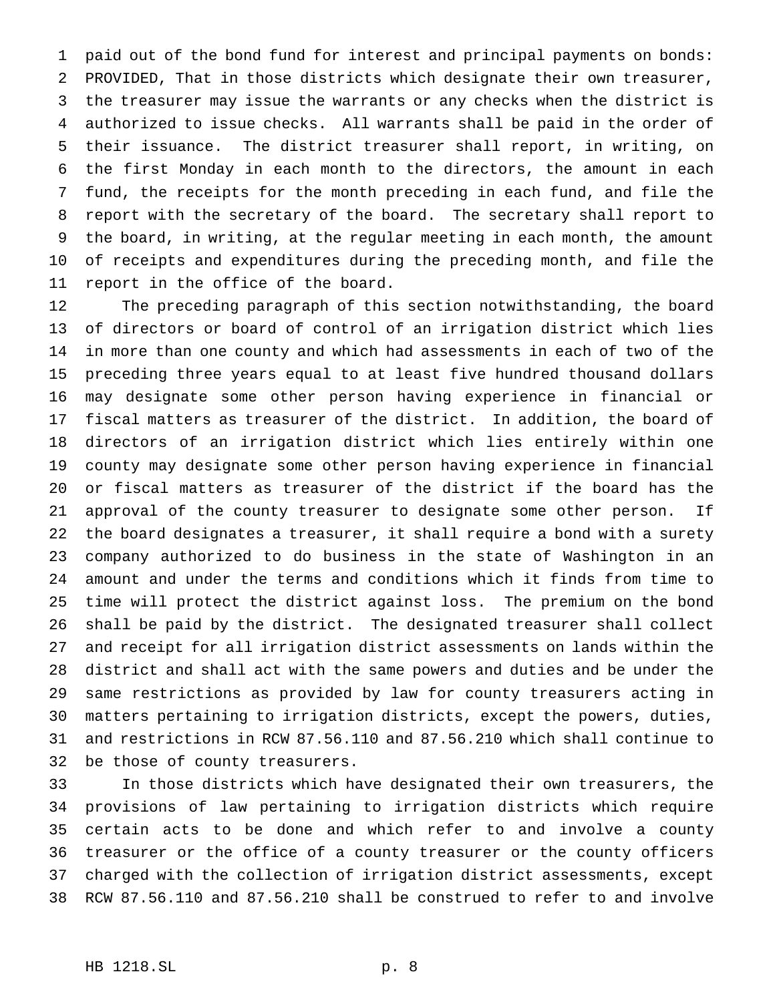paid out of the bond fund for interest and principal payments on bonds: PROVIDED, That in those districts which designate their own treasurer, the treasurer may issue the warrants or any checks when the district is authorized to issue checks. All warrants shall be paid in the order of their issuance. The district treasurer shall report, in writing, on the first Monday in each month to the directors, the amount in each fund, the receipts for the month preceding in each fund, and file the report with the secretary of the board. The secretary shall report to the board, in writing, at the regular meeting in each month, the amount of receipts and expenditures during the preceding month, and file the report in the office of the board.

 The preceding paragraph of this section notwithstanding, the board of directors or board of control of an irrigation district which lies in more than one county and which had assessments in each of two of the preceding three years equal to at least five hundred thousand dollars may designate some other person having experience in financial or fiscal matters as treasurer of the district. In addition, the board of directors of an irrigation district which lies entirely within one county may designate some other person having experience in financial or fiscal matters as treasurer of the district if the board has the approval of the county treasurer to designate some other person. If the board designates a treasurer, it shall require a bond with a surety company authorized to do business in the state of Washington in an amount and under the terms and conditions which it finds from time to time will protect the district against loss. The premium on the bond shall be paid by the district. The designated treasurer shall collect and receipt for all irrigation district assessments on lands within the district and shall act with the same powers and duties and be under the same restrictions as provided by law for county treasurers acting in matters pertaining to irrigation districts, except the powers, duties, and restrictions in RCW 87.56.110 and 87.56.210 which shall continue to be those of county treasurers.

 In those districts which have designated their own treasurers, the provisions of law pertaining to irrigation districts which require certain acts to be done and which refer to and involve a county treasurer or the office of a county treasurer or the county officers charged with the collection of irrigation district assessments, except RCW 87.56.110 and 87.56.210 shall be construed to refer to and involve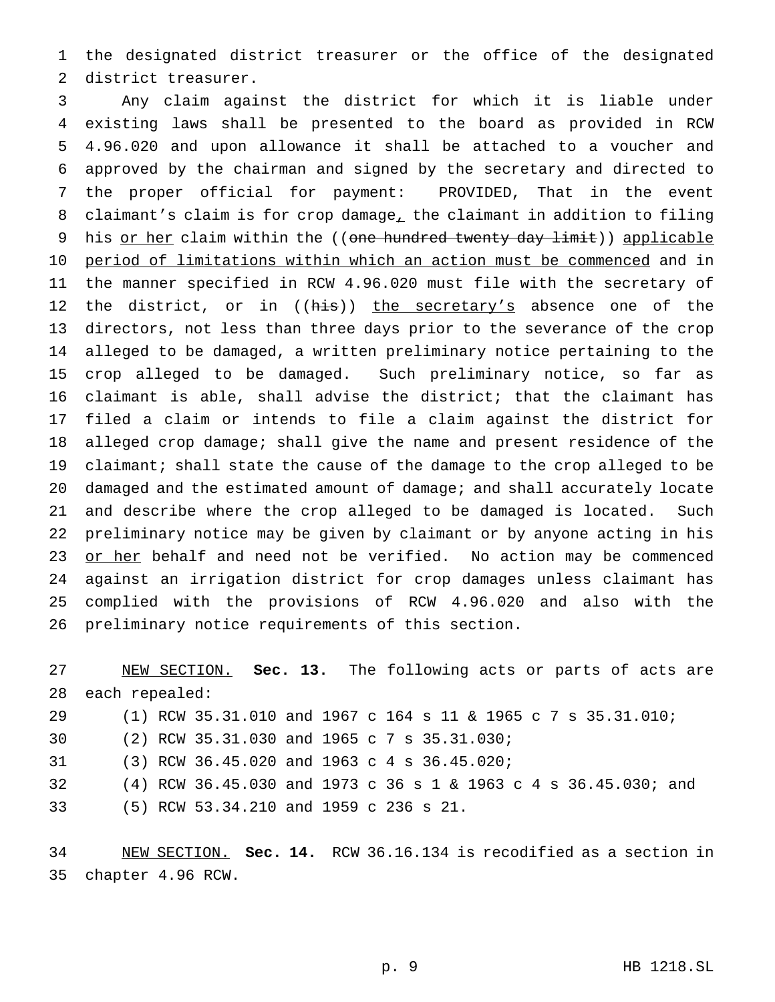the designated district treasurer or the office of the designated district treasurer.

 Any claim against the district for which it is liable under existing laws shall be presented to the board as provided in RCW 4.96.020 and upon allowance it shall be attached to a voucher and approved by the chairman and signed by the secretary and directed to the proper official for payment: PROVIDED, That in the event claimant's claim is for crop damage, the claimant in addition to filing 9 his or her claim within the ((one hundred twenty day limit)) applicable period of limitations within which an action must be commenced and in the manner specified in RCW 4.96.020 must file with the secretary of 12 the district, or in ((his)) the secretary's absence one of the directors, not less than three days prior to the severance of the crop alleged to be damaged, a written preliminary notice pertaining to the crop alleged to be damaged. Such preliminary notice, so far as claimant is able, shall advise the district; that the claimant has filed a claim or intends to file a claim against the district for alleged crop damage; shall give the name and present residence of the claimant; shall state the cause of the damage to the crop alleged to be damaged and the estimated amount of damage; and shall accurately locate and describe where the crop alleged to be damaged is located. Such preliminary notice may be given by claimant or by anyone acting in his 23 or her behalf and need not be verified. No action may be commenced against an irrigation district for crop damages unless claimant has complied with the provisions of RCW 4.96.020 and also with the preliminary notice requirements of this section.

 NEW SECTION. **Sec. 13.** The following acts or parts of acts are each repealed: (1) RCW 35.31.010 and 1967 c 164 s 11 & 1965c7s 35.31.010; (2) RCW 35.31.030 and 1965c7s 35.31.030; (3) RCW 36.45.020 and 1963c4s 36.45.020; (4) RCW 36.45.030 and 1973 c 36s1& 1963 c 4 s 36.45.030; and (5) RCW 53.34.210 and 1959 c 236 s 21.

 NEW SECTION. **Sec. 14.** RCW 36.16.134 is recodified as a section in chapter 4.96 RCW.